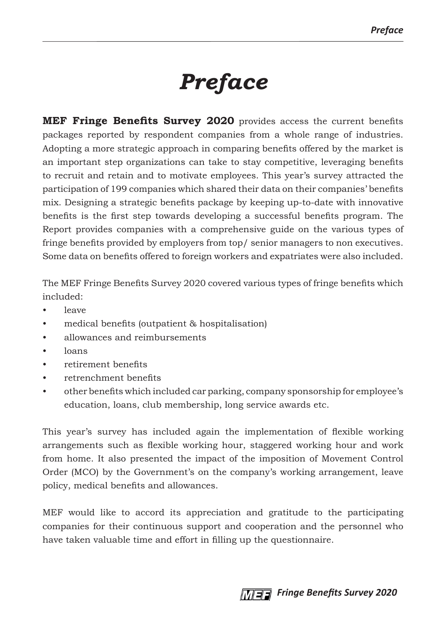## *Preface*

**MEF Fringe Benefits Survey 2020** provides access the current benefits packages reported by respondent companies from a whole range of industries. Adopting a more strategic approach in comparing benefits offered by the market is an important step organizations can take to stay competitive, leveraging benefits to recruit and retain and to motivate employees. This year's survey attracted the participation of 199 companies which shared their data on their companies' benefits mix. Designing a strategic benefits package by keeping up-to-date with innovative benefits is the first step towards developing a successful benefits program. The Report provides companies with a comprehensive guide on the various types of fringe benefits provided by employers from top/ senior managers to non executives. Some data on benefits offered to foreign workers and expatriates were also included.

The MEF Fringe Benefits Survey 2020 covered various types of fringe benefits which included:

- leave
- medical benefits (outpatient & hospitalisation)
- allowances and reimbursements
- loans
- retirement benefits
- retrenchment benefits
- other benefits which included car parking, company sponsorship for employee's education, loans, club membership, long service awards etc.

This year's survey has included again the implementation of flexible working arrangements such as flexible working hour, staggered working hour and work from home. It also presented the impact of the imposition of Movement Control Order (MCO) by the Government's on the company's working arrangement, leave policy, medical benefits and allowances.

MEF would like to accord its appreciation and gratitude to the participating companies for their continuous support and cooperation and the personnel who have taken valuable time and effort in filling up the questionnaire.